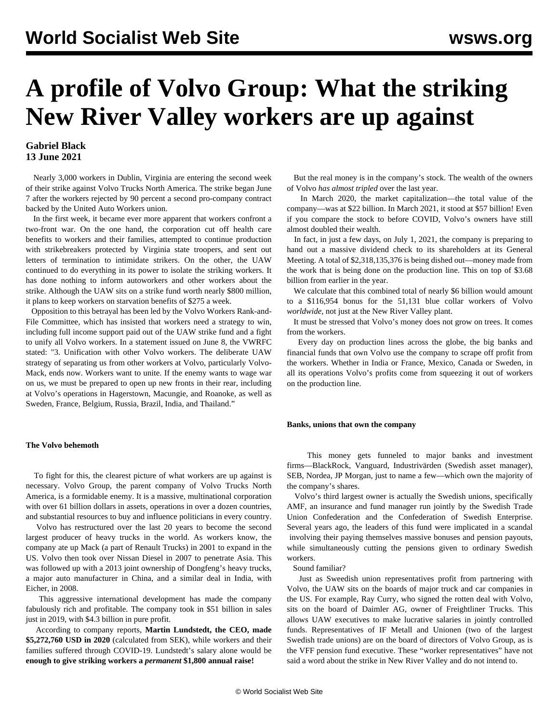# **A profile of Volvo Group: What the striking New River Valley workers are up against**

# **Gabriel Black 13 June 2021**

 Nearly 3,000 workers in Dublin, Virginia are entering the second week of their strike against Volvo Trucks North America. The strike began June 7 after the workers rejected by 90 percent a second pro-company contract backed by the United Auto Workers union.

 In the first week, it became ever more apparent that workers [confront](/en/articles/2021/06/12/volv-j12.html) a two-front war. On the one hand, the corporation cut off health care benefits to workers and their families, attempted to continue production with strikebreakers protected by Virginia state troopers, and sent out letters of termination to intimidate strikers. On the other, the UAW continued to do everything in its power to isolate the striking workers. It has done nothing to inform autoworkers and other workers about the strike. Although the UAW sits on a strike fund worth nearly \$800 million, it plans to keep workers on starvation benefits of \$275 a week.

 Opposition to this betrayal has been led by the Volvo Workers Rank-and-File Committee, which has insisted that workers need a strategy to win, including full income support paid out of the UAW strike fund and a fight to unify all Volvo workers. In a [statement](/en/articles/2021/06/09/volv-j08.html) issued on June 8, the VWRFC stated: "3. Unification with other Volvo workers. The deliberate UAW strategy of separating us from other workers at Volvo, particularly Volvo-Mack, ends now. Workers want to unite. If the enemy wants to wage war on us, we must be prepared to open up new fronts in their rear, including at Volvo's operations in Hagerstown, Macungie, and Roanoke, as well as Sweden, France, Belgium, Russia, Brazil, India, and Thailand."

### **The Volvo behemoth**

 To fight for this, the clearest picture of what workers are up against is necessary. Volvo Group, the parent company of Volvo Trucks North America, is a formidable enemy. It is a massive, multinational corporation with over 61 billion dollars in assets, operations in over a dozen countries, and substantial resources to buy and influence politicians in every country.

 Volvo has restructured over the last 20 years to become the second largest producer of heavy trucks in the world. As workers know, the company ate up Mack (a part of Renault Trucks) in 2001 to expand in the US. Volvo then took over Nissan Diesel in 2007 to penetrate Asia. This was followed up with a 2013 joint ownership of Dongfeng's heavy trucks, a major auto manufacturer in China, and a similar deal in India, with Eicher, in 2008.

 This aggressive international development has made the company fabulously rich and profitable. The company took in \$51 billion in sales just in 2019, with \$4.3 billion in pure profit.

 According to company reports, **Martin Lundstedt, the CEO, made \$5,272,760 USD in 2020** (calculated from SEK), while workers and their families suffered through COVID-19. Lundstedt's salary alone would be **enough to give striking workers a** *permanent* **\$1,800 annual raise!**

 But the real money is in the company's stock. The wealth of the owners of Volvo *has almost tripled* over the last year.

 In March 2020, the market capitalization—the total value of the company—was at \$22 billion. In March 2021, it stood at \$57 billion! Even if you compare the stock to before COVID, Volvo's owners have still almost doubled their wealth.

 In fact, in just a few days, on July 1, 2021, the company is preparing to hand out a massive dividend check to its shareholders at its General Meeting. A total of \$2,318,135,376 is being dished out—money made from the work that is being done on the production line. This on top of \$3.68 billion from earlier in the year.

 We [calculate](/share/page/site/Downloads/calculated) that this combined total of nearly \$6 billion would amount to a \$116,954 bonus for the 51,131 blue collar workers of Volvo *worldwide*, not just at the New River Valley plant.

 It must be stressed that Volvo's money does not grow on trees. It comes from the workers.

 Every day on production lines across the globe, the big banks and financial funds that own Volvo use the company to scrape off profit from the workers. Whether in India or France, Mexico, Canada or Sweden, in all its operations Volvo's profits come from squeezing it out of workers on the production line.

#### **Banks, unions that own the company**

 This money gets funneled to major banks and investment firms—BlackRock, Vanguard, Industrivärden (Swedish asset manager), SEB, Nordea, JP Morgan, just to name a few—which own the majority of the company's shares.

 Volvo's third largest owner is actually the Swedish unions, specifically AMF, an insurance and fund manager run jointly by the Swedish Trade Union Confederation and the Confederation of Swedish Enterprise. Several years ago, the leaders of this fund were implicated in a [scandal](/en/articles/2009/04/swed-a14.html) involving their paying themselves massive bonuses and pension payouts, while simultaneously cutting the pensions given to ordinary Swedish workers.

Sound familiar?

 Just as Sweedish union representatives profit from partnering with Volvo, the UAW sits on the boards of major truck and car companies in the US. For example, Ray Curry, who signed the rotten deal with Volvo, sits on the board of Daimler AG, owner of Freightliner Trucks. This allows UAW executives to make lucrative salaries in jointly controlled funds. Representatives of IF Metall and Unionen (two of the largest Swedish trade unions) are on the board of directors of Volvo Group, as is the VFF pension fund executive. These "worker representatives" have not said a word about the strike in New River Valley and do not intend to.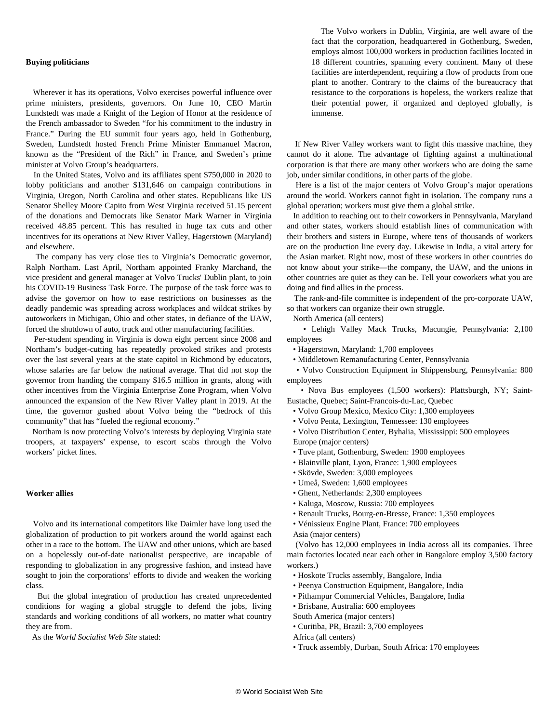## **Buying politicians**

 Wherever it has its operations, Volvo exercises powerful influence over prime ministers, presidents, governors. On June 10, CEO Martin Lundstedt was made a Knight of the Legion of Honor at the residence of the French ambassador to Sweden "for his commitment to the industry in France." During the EU summit four years ago, held in Gothenburg, Sweden, Lundstedt hosted French Prime Minister Emmanuel Macron, known as the "President of the Rich" in France, and Sweden's prime minister at Volvo Group's headquarters.

 In the United States, Volvo and its affiliates spent \$750,000 in 2020 to lobby politicians and another \$131,646 on campaign contributions in Virginia, Oregon, North Carolina and other states. Republicans like US Senator Shelley Moore Capito from West Virginia received 51.15 percent of the donations and Democrats like Senator Mark Warner in Virginia received 48.85 percent. This has resulted in huge tax cuts and other incentives for its operations at New River Valley, Hagerstown (Maryland) and elsewhere.

 The company has very close ties to Virginia's Democratic governor, Ralph Northam. Last April, Northam appointed Franky Marchand, the vice president and general manager at Volvo Trucks' Dublin plant, to join his COVID-19 Business Task Force. The purpose of the task force was to advise the governor on how to ease restrictions on businesses as the deadly pandemic was spreading across workplaces and wildcat strikes by autoworkers in Michigan, Ohio and other states, in defiance of the UAW, forced the shutdown of auto, truck and other manufacturing facilities.

 Per-student spending in Virginia is down eight percent since 2008 and Northam's budget-cutting has repeatedly provoked strikes and protests over the last several years at the state capitol in Richmond by educators, whose salaries are far below the national average. That did not stop the governor from handing the company \$16.5 million in grants, along with other incentives from the Virginia Enterprise Zone Program, when Volvo announced the expansion of the New River Valley plant in 2019. At the time, the governor gushed about Volvo being the "bedrock of this community" that has "fueled the regional economy."

 Northam is now protecting Volvo's interests by deploying Virginia state troopers, at taxpayers' expense, to escort scabs through the Volvo workers' picket lines.

#### **Worker allies**

 Volvo and its international competitors like Daimler have long used the globalization of production to pit workers around the world against each other in a race to the bottom. The UAW and other unions, which are based on a hopelessly out-of-date nationalist perspective, are incapable of responding to globalization in any progressive fashion, and instead have sought to join the corporations' efforts to divide and weaken the working class.

 But the global integration of production has created unprecedented conditions for waging a global struggle to defend the jobs, living standards and working conditions of all workers, no matter what country they are from.

As the *World Socialist Web Site* stated:

 The Volvo workers in Dublin, Virginia, are well aware of the fact that the corporation, headquartered in Gothenburg, Sweden, employs almost 100,000 workers in production facilities located in 18 different countries, spanning every continent. Many of these facilities are interdependent, requiring a flow of products from one plant to another. Contrary to the claims of the bureaucracy that resistance to the corporations is hopeless, the workers realize that their potential power, if organized and deployed globally, is immense.

 If New River Valley workers want to fight this massive machine, they cannot do it alone. The advantage of fighting against a multinational corporation is that there are many other workers who are doing the same job, under similar conditions, in other parts of the globe.

 Here is a list of the major centers of Volvo Group's major operations around the world. Workers cannot fight in isolation. The company runs a global operation; workers must give them a global strike.

 In addition to reaching out to their coworkers in Pennsylvania, Maryland and other states, workers should establish lines of communication with their brothers and sisters in Europe, where tens of thousands of workers are on the production line every day. Likewise in India, a vital artery for the Asian market. Right now, most of these workers in other countries do not know about your strike—the company, the UAW, and the unions in other countries are quiet as they can be. Tell your coworkers what you are doing and find allies in the process.

 The rank-and-file committee is independent of the pro-corporate UAW, so that workers can organize their own struggle.

North America (all centers)

 • Lehigh Valley Mack Trucks, Macungie, Pennsylvania: 2,100 employees

- Hagerstown, Maryland: 1,700 employees
- Middletown Remanufacturing Center, Pennsylvania

 • Volvo Construction Equipment in Shippensburg, Pennsylvania: 800 employees

 • Nova Bus employees (1,500 workers): Plattsburgh, NY; Saint-Eustache, Quebec; Saint-Francois-du-Lac, Quebec

- Volvo Group Mexico, Mexico City: 1,300 employees
- Volvo Penta, Lexington, Tennessee: 130 employees
- Volvo Distribution Center, Byhalia, Mississippi: 500 employees Europe (major centers)
- Tuve plant, Gothenburg, Sweden: 1900 employees
- Blainville plant, Lyon, France: 1,900 employees
- Skövde, Sweden: 3,000 employees
- Umeå, Sweden: 1,600 employees
- Ghent, Netherlands: 2,300 employees
- Kaluga, Moscow, Russia: 700 employees
- Renault Trucks, Bourg-en-Bresse, France: 1,350 employees
- Vénissieux Engine Plant, France: 700 employees Asia (major centers)

 (Volvo has 12,000 employees in India across all its companies. Three main factories located near each other in Bangalore employ 3,500 factory workers.)

- Hoskote Trucks assembly, Bangalore, India
- Peenya Construction Equipment, Bangalore, India
- Pithampur Commercial Vehicles, Bangalore, India
- Brisbane, Australia: 600 employees
- South America (major centers)
- Curitiba, PR, Brazil: 3,700 employees
- Africa (all centers)
- Truck assembly, Durban, South Africa: 170 employees